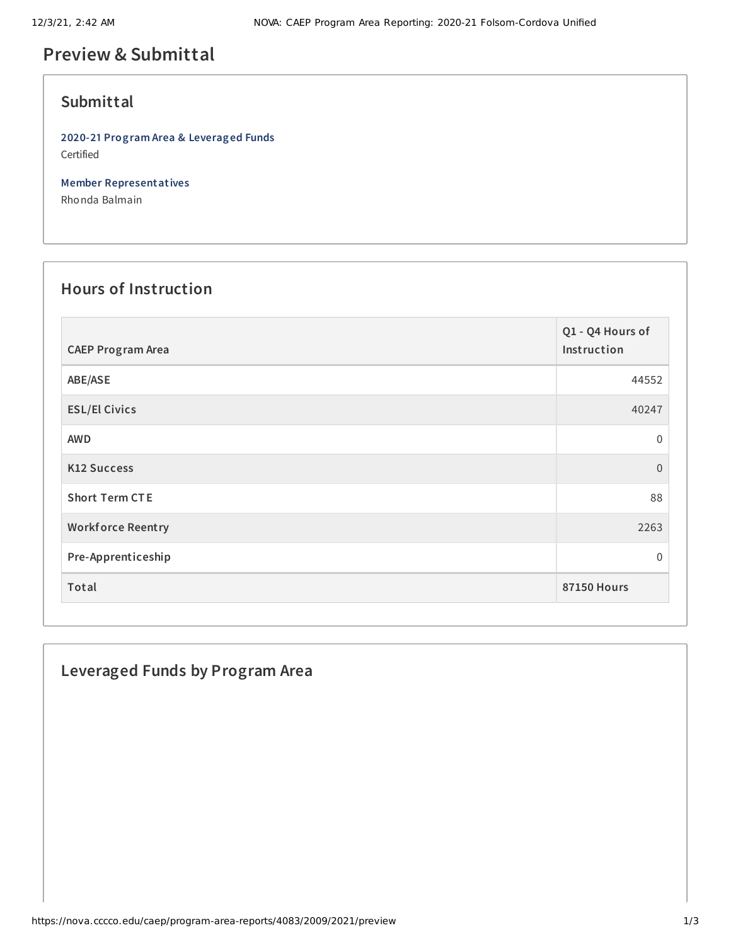## **Preview & Submittal**

#### **Submittal**

**2020-21 Program Area & Leveraged Funds** Certified

**Member Representatives**

Rhonda Balmain

## **Hours of Instruction**

| <b>CAEP Program Area</b> | Q1 - Q4 Hours of<br>Instruction |
|--------------------------|---------------------------------|
| ABE/ASE                  | 44552                           |
| <b>ESL/El Civics</b>     | 40247                           |
| <b>AWD</b>               | 0                               |
| <b>K12 Success</b>       | $\overline{0}$                  |
| <b>Short Term CTE</b>    | 88                              |
| <b>Workforce Reentry</b> | 2263                            |
| Pre-Apprenticeship       | 0                               |
| Total                    | <b>87150 Hours</b>              |

### **Leveraged Funds by Program Area**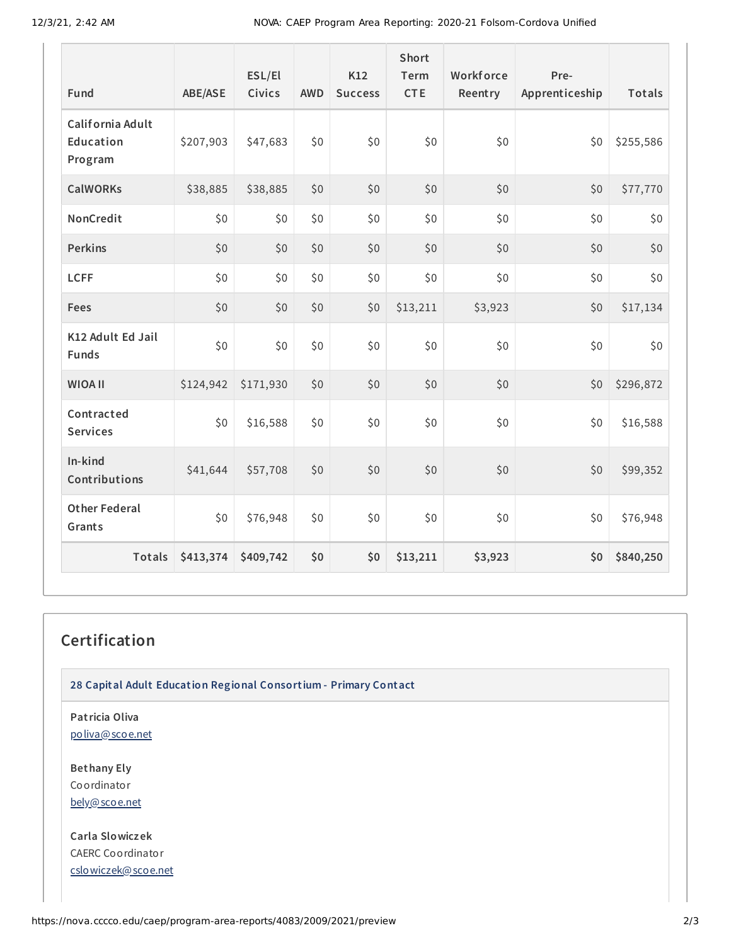| Fund                                     | ABE/ASE   | ESL/El<br>Civics | <b>AWD</b> | K12<br><b>Success</b> | <b>Short</b><br>Term<br><b>CTE</b> | Workforce<br>Reentry | Pre-<br>Apprenticeship | Totals    |
|------------------------------------------|-----------|------------------|------------|-----------------------|------------------------------------|----------------------|------------------------|-----------|
| California Adult<br>Education<br>Program | \$207,903 | \$47,683         | \$0        | \$0                   | \$0                                | \$0                  | \$0                    | \$255,586 |
| <b>CalWORKs</b>                          | \$38,885  | \$38,885         | \$0        | \$0                   | \$0                                | \$0                  | \$0                    | \$77,770  |
| NonCredit                                | \$0       | \$0              | \$0        | \$0                   | \$0                                | \$0                  | \$0                    | \$0       |
| Perkins                                  | \$0       | \$0              | \$0        | \$0                   | \$0                                | \$0                  | \$0                    | \$0       |
| <b>LCFF</b>                              | \$0       | \$0              | \$0        | \$0                   | \$0                                | \$0                  | \$0                    | \$0       |
| Fees                                     | \$0       | \$0              | \$0        | \$0                   | \$13,211                           | \$3,923              | \$0                    | \$17,134  |
| K12 Adult Ed Jail<br>Funds               | \$0       | \$0              | \$0        | \$0                   | \$0                                | \$0                  | \$0                    | \$0       |
| <b>WIOA II</b>                           | \$124,942 | \$171,930        | \$0        | \$0                   | \$0                                | \$0                  | \$0                    | \$296,872 |
| Contracted<br><b>Services</b>            | \$0       | \$16,588         | \$0        | \$0                   | \$0                                | \$0                  | \$0                    | \$16,588  |
| In-kind<br>Contributions                 | \$41,644  | \$57,708         | \$0        | \$0                   | \$0                                | \$0                  | \$0                    | \$99,352  |
| <b>Other Federal</b><br>Grants           | \$0       | \$76,948         | \$0        | \$0                   | \$0                                | \$0                  | \$0                    | \$76,948  |
| Totals                                   | \$413,374 | \$409,742        | \$0        | \$0                   | \$13,211                           | \$3,923              | \$0                    | \$840,250 |

# **Certification**

**28 Capital Adult Education Regional Consortium - Primary Contact**

**Patricia Oliva** [poliva@scoe.net](mailto:poliva@scoe.net)

**Bethany Ely** Coordinator [bely@scoe.net](mailto:bely@scoe.net)

**Carla Slowiczek** CAERC Coordinator [cslowiczek@scoe.net](mailto:cslowiczek@scoe.net)